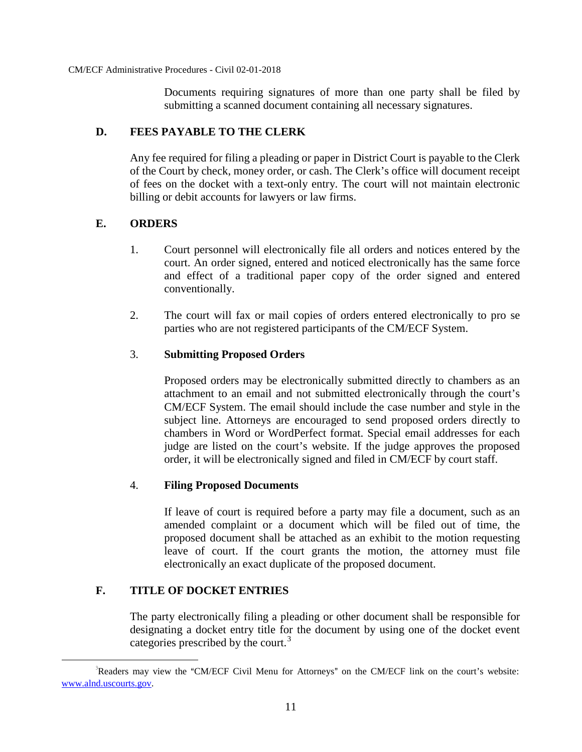Documents requiring signatures of more than one party shall be filed by submitting a scanned document containing all necessary signatures.

# **D. FEES PAYABLE TO THE CLERK**

Any fee required for filing a pleading or paper in District Court is payable to the Clerk of the Court by check, money order, or cash. The Clerk's office will document receipt of fees on the docket with a text-only entry. The court will not maintain electronic billing or debit accounts for lawyers or law firms.

# **E. ORDERS**

- 1. Court personnel will electronically file all orders and notices entered by the court. An order signed, entered and noticed electronically has the same force and effect of a traditional paper copy of the order signed and entered conventionally.
- 2. The court will fax or mail copies of orders entered electronically to pro se parties who are not registered participants of the CM/ECF System.

# 3. **Submitting Proposed Orders**

Proposed orders may be electronically submitted directly to chambers as an attachment to an email and not submitted electronically through the court's CM/ECF System. The email should include the case number and style in the subject line. Attorneys are encouraged to send proposed orders directly to chambers in Word or WordPerfect format. Special email addresses for each judge are listed on the court's website. If the judge approves the proposed order, it will be electronically signed and filed in CM/ECF by court staff.

# 4. **Filing Proposed Documents**

If leave of court is required before a party may file a document, such as an amended complaint or a document which will be filed out of time, the proposed document shall be attached as an exhibit to the motion requesting leave of court. If the court grants the motion, the attorney must file electronically an exact duplicate of the proposed document.

# **F. TITLE OF DOCKET ENTRIES**

The party electronically filing a pleading or other document shall be responsible for designating a docket entry title for the document by using one of the docket event categories prescribed by the court.<sup>[3](#page-12-0)</sup>

<span id="page-12-0"></span>Readers may view the "CM/ECF Civil Menu for Attorneys" on the CM/ECF link on the court's website: www.alnd.uscourts.gov.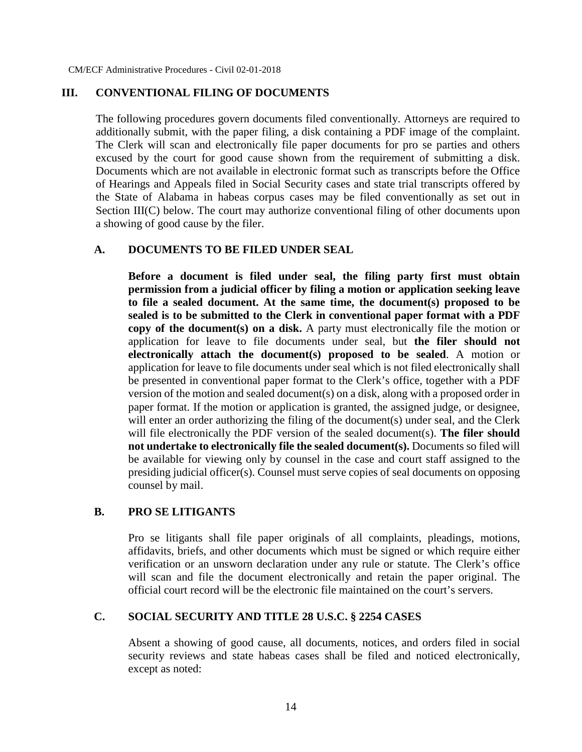#### **III. CONVENTIONAL FILING OF DOCUMENTS**

The following procedures govern documents filed conventionally. Attorneys are required to additionally submit, with the paper filing, a disk containing a PDF image of the complaint. The Clerk will scan and electronically file paper documents for pro se parties and others excused by the court for good cause shown from the requirement of submitting a disk. Documents which are not available in electronic format such as transcripts before the Office of Hearings and Appeals filed in Social Security cases and state trial transcripts offered by the State of Alabama in habeas corpus cases may be filed conventionally as set out in Section III(C) below. The court may authorize conventional filing of other documents upon a showing of good cause by the filer.

#### **A. DOCUMENTS TO BE FILED UNDER SEAL**

**Before a document is filed under seal, the filing party first must obtain permission from a judicial officer by filing a motion or application seeking leave to file a sealed document. At the same time, the document(s) proposed to be sealed is to be submitted to the Clerk in conventional paper format with a PDF copy of the document(s) on a disk.** A party must electronically file the motion or application for leave to file documents under seal, but **the filer should not electronically attach the document(s) proposed to be sealed**. A motion or application for leave to file documents under seal which is not filed electronically shall be presented in conventional paper format to the Clerk's office, together with a PDF version of the motion and sealed document(s) on a disk, along with a proposed order in paper format. If the motion or application is granted, the assigned judge, or designee, will enter an order authorizing the filing of the document(s) under seal, and the Clerk will file electronically the PDF version of the sealed document(s). **The filer should not undertake to electronically file the sealed document(s).** Documents so filed will be available for viewing only by counsel in the case and court staff assigned to the presiding judicial officer(s). Counsel must serve copies of seal documents on opposing counsel by mail.

### **B. PRO SE LITIGANTS**

Pro se litigants shall file paper originals of all complaints, pleadings, motions, affidavits, briefs, and other documents which must be signed or which require either verification or an unsworn declaration under any rule or statute. The Clerk's office will scan and file the document electronically and retain the paper original. The official court record will be the electronic file maintained on the court's servers.

# **C. SOCIAL SECURITY AND TITLE 28 U.S.C. § 2254 CASES**

Absent a showing of good cause, all documents, notices, and orders filed in social security reviews and state habeas cases shall be filed and noticed electronically, except as noted: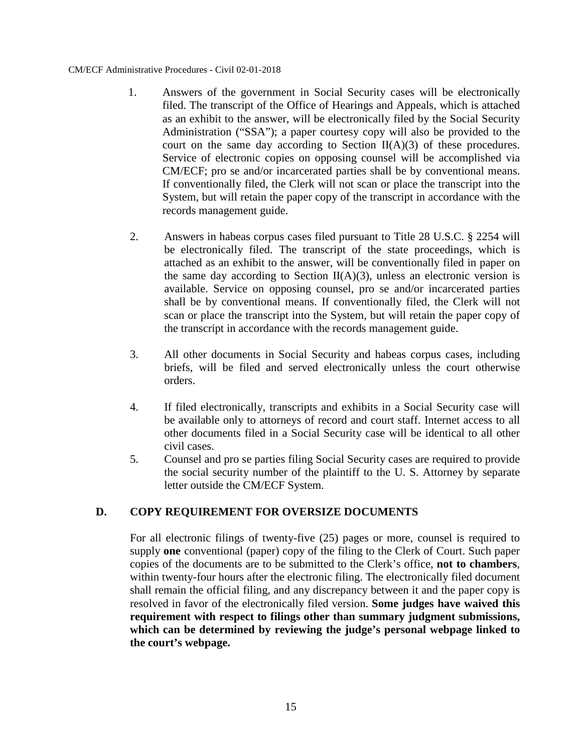- 1. Answers of the government in Social Security cases will be electronically filed. The transcript of the Office of Hearings and Appeals, which is attached as an exhibit to the answer, will be electronically filed by the Social Security Administration ("SSA"); a paper courtesy copy will also be provided to the court on the same day according to Section  $II(A)(3)$  of these procedures. Service of electronic copies on opposing counsel will be accomplished via CM/ECF; pro se and/or incarcerated parties shall be by conventional means. If conventionally filed, the Clerk will not scan or place the transcript into the System, but will retain the paper copy of the transcript in accordance with the records management guide.
- 2. Answers in habeas corpus cases filed pursuant to Title 28 U.S.C. § 2254 will be electronically filed. The transcript of the state proceedings, which is attached as an exhibit to the answer, will be conventionally filed in paper on the same day according to Section  $II(A)(3)$ , unless an electronic version is available. Service on opposing counsel, pro se and/or incarcerated parties shall be by conventional means. If conventionally filed, the Clerk will not scan or place the transcript into the System, but will retain the paper copy of the transcript in accordance with the records management guide.
- 3. All other documents in Social Security and habeas corpus cases, including briefs, will be filed and served electronically unless the court otherwise orders.
- 4. If filed electronically, transcripts and exhibits in a Social Security case will be available only to attorneys of record and court staff. Internet access to all other documents filed in a Social Security case will be identical to all other civil cases.
- 5. Counsel and pro se parties filing Social Security cases are required to provide the social security number of the plaintiff to the U. S. Attorney by separate letter outside the CM/ECF System.

# **D. COPY REQUIREMENT FOR OVERSIZE DOCUMENTS**

For all electronic filings of twenty-five (25) pages or more, counsel is required to supply **one** conventional (paper) copy of the filing to the Clerk of Court. Such paper copies of the documents are to be submitted to the Clerk's office, **not to chambers**, within twenty-four hours after the electronic filing. The electronically filed document shall remain the official filing, and any discrepancy between it and the paper copy is resolved in favor of the electronically filed version. **Some judges have waived this requirement with respect to filings other than summary judgment submissions, which can be determined by reviewing the judge's personal webpage linked to the court's webpage.**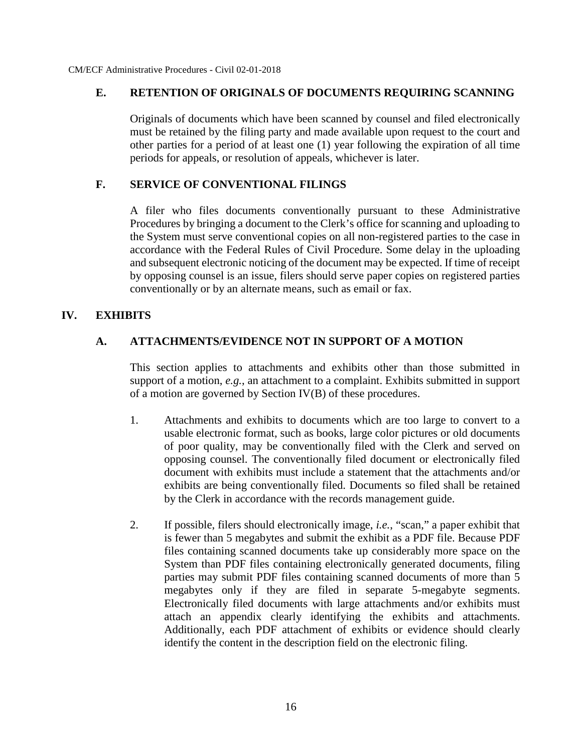# **E. RETENTION OF ORIGINALS OF DOCUMENTS REQUIRING SCANNING**

Originals of documents which have been scanned by counsel and filed electronically must be retained by the filing party and made available upon request to the court and other parties for a period of at least one (1) year following the expiration of all time periods for appeals, or resolution of appeals, whichever is later.

# **F. SERVICE OF CONVENTIONAL FILINGS**

A filer who files documents conventionally pursuant to these Administrative Procedures by bringing a document to the Clerk's office for scanning and uploading to the System must serve conventional copies on all non-registered parties to the case in accordance with the Federal Rules of Civil Procedure. Some delay in the uploading and subsequent electronic noticing of the document may be expected. If time of receipt by opposing counsel is an issue, filers should serve paper copies on registered parties conventionally or by an alternate means, such as email or fax.

# **IV. EXHIBITS**

# **A. ATTACHMENTS/EVIDENCE NOT IN SUPPORT OF A MOTION**

This section applies to attachments and exhibits other than those submitted in support of a motion, *e.g.*, an attachment to a complaint. Exhibits submitted in support of a motion are governed by Section IV(B) of these procedures.

- 1. Attachments and exhibits to documents which are too large to convert to a usable electronic format, such as books, large color pictures or old documents of poor quality, may be conventionally filed with the Clerk and served on opposing counsel. The conventionally filed document or electronically filed document with exhibits must include a statement that the attachments and/or exhibits are being conventionally filed. Documents so filed shall be retained by the Clerk in accordance with the records management guide.
- 2. If possible, filers should electronically image, *i.e.*, "scan," a paper exhibit that is fewer than 10 megabytes and submit the exhibit as a PDF file. Because PDF files containing scanned documents take up considerably more space on the System than PDF files containing electronically generated documents, filing parties may submit PDF files containing scanned documents of more than 10 megabytes only if they are filed in separate 10-megabyte segments. Electronically filed documents with large attachments and/or exhibits must attach an appendix clearly identifying the exhibits and attachments. Additionally, each PDF attachment of exhibits or evidence should clearly identify the content in the description field on the electronic filing.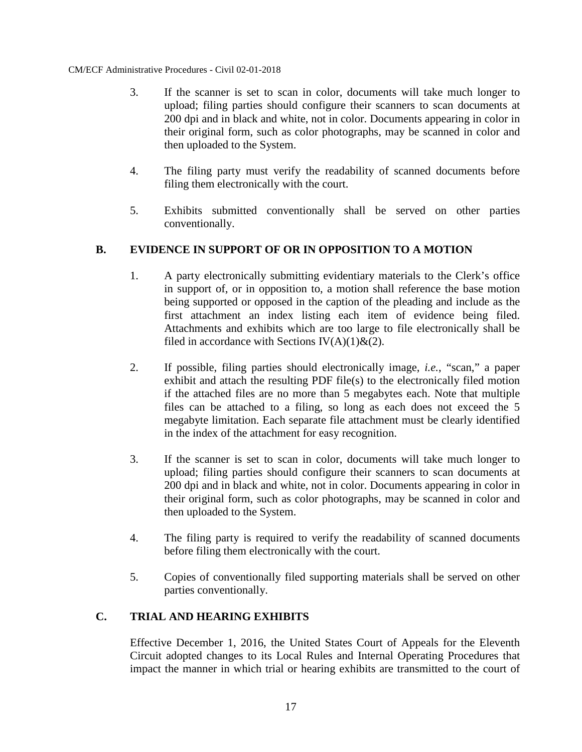- 3. If the scanner is set to scan in color, documents will take much longer to upload; filing parties should configure their scanners to scan documents at 200 dpi and in black and white, not in color. Documents appearing in color in their original form, such as color photographs, may be scanned in color and then uploaded to the System.
- 4. The filing party must verify the readability of scanned documents before filing them electronically with the court.
- 5. Exhibits submitted conventionally shall be served on other parties conventionally.

# **B. EVIDENCE IN SUPPORT OF OR IN OPPOSITION TO A MOTION**

- 1. A party electronically submitting evidentiary materials to the Clerk's office in support of, or in opposition to, a motion shall reference the base motion being supported or opposed in the caption of the pleading and include as the first attachment an index listing each item of evidence being filed. Attachments and exhibits which are too large to file electronically shall be filed in accordance with Sections IV(A)(1) $\&$ (2).
- 2. If possible, filing parties should electronically image, *i.e.*, "scan," a paper exhibit and attach the resulting PDF file(s) to the electronically filed motion if the attached files are no more than 10 megabytes each. Note that multiple files can be attached to a filing, so long as each does not exceed the 10 megabyte limitation. Each separate file attachment must be clearly identified in the index of the attachment for easy recognition.
- 3. If the scanner is set to scan in color, documents will take much longer to upload; filing parties should configure their scanners to scan documents at 200 dpi and in black and white, not in color. Documents appearing in color in their original form, such as color photographs, may be scanned in color and then uploaded to the System.
- 4. The filing party is required to verify the readability of scanned documents before filing them electronically with the court.
- 5. Copies of conventionally filed supporting materials shall be served on other parties conventionally.

# **C. TRIAL AND HEARING EXHIBITS**

Effective December 1, 2016, the United States Court of Appeals for the Eleventh Circuit adopted changes to its Local Rules and Internal Operating Procedures that impact the manner in which trial or hearing exhibits are transmitted to the court of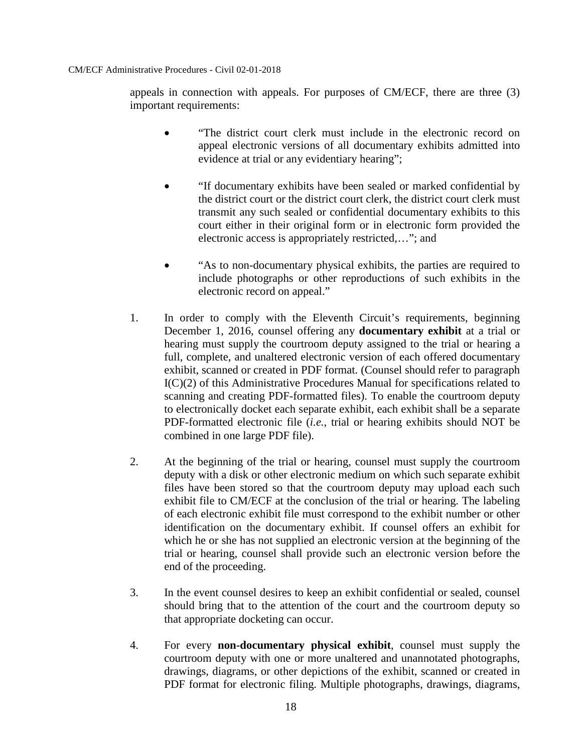appeals in connection with appeals. For purposes of CM/ECF, there are three (3) important requirements:

- "The district court clerk must include in the electronic record on appeal electronic versions of all documentary exhibits admitted into evidence at trial or any evidentiary hearing";
- "If documentary exhibits have been sealed or marked confidential by the district court or the district court clerk, the district court clerk must transmit any such sealed or confidential documentary exhibits to this court either in their original form or in electronic form provided the electronic access is appropriately restricted,…"; and
- "As to non-documentary physical exhibits, the parties are required to include photographs or other reproductions of such exhibits in the electronic record on appeal."
- 1. In order to comply with the Eleventh Circuit's requirements, beginning December 1, 2016, counsel offering any **documentary exhibit** at a trial or hearing must supply the courtroom deputy assigned to the trial or hearing a full, complete, and unaltered electronic version of each offered documentary exhibit, scanned or created in PDF format. (Counsel should refer to paragraph I(C)(2) of this Administrative Procedures Manual for specifications related to scanning and creating PDF-formatted files). To enable the courtroom deputy to electronically docket each separate exhibit, each exhibit shall be a separate PDF-formatted electronic file (*i.e.*, trial or hearing exhibits should NOT be combined in one large PDF file).
- 2. At the beginning of the trial or hearing, counsel must supply the courtroom deputy with a disk or other electronic medium on which such separate exhibit files have been stored so that the courtroom deputy may upload each such exhibit file to CM/ECF at the conclusion of the trial or hearing. The labeling of each electronic exhibit file must correspond to the exhibit number or other identification on the documentary exhibit. If counsel offers an exhibit for which he or she has not supplied an electronic version at the beginning of the trial or hearing, counsel shall provide such an electronic version before the end of the proceeding.
- 3. In the event counsel desires to keep an exhibit confidential or sealed, counsel should bring that to the attention of the court and the courtroom deputy so that appropriate docketing can occur.
- 4. For every **non-documentary physical exhibit**, counsel must supply the courtroom deputy with one or more unaltered and unannotated photographs, drawings, diagrams, or other depictions of the exhibit, scanned or created in PDF format for electronic filing. Multiple photographs, drawings, diagrams,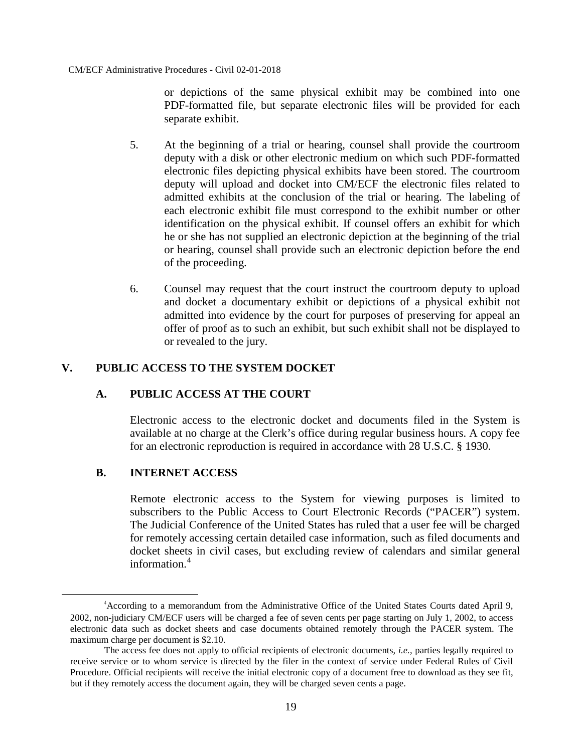or depictions of the same physical exhibit may be combined into one PDF-formatted file, but separate electronic files will be provided for each separate exhibit.

- 5. At the beginning of a trial or hearing, counsel shall provide the courtroom deputy with a disk or other electronic medium on which such PDF-formatted electronic files depicting physical exhibits have been stored. The courtroom deputy will upload and docket into CM/ECF the electronic files related to admitted exhibits at the conclusion of the trial or hearing. The labeling of each electronic exhibit file must correspond to the exhibit number or other identification on the physical exhibit. If counsel offers an exhibit for which he or she has not supplied an electronic depiction at the beginning of the trial or hearing, counsel shall provide such an electronic depiction before the end of the proceeding.
- 6. Counsel may request that the court instruct the courtroom deputy to upload and docket a documentary exhibit or depictions of a physical exhibit not admitted into evidence by the court for purposes of preserving for appeal an offer of proof as to such an exhibit, but such exhibit shall not be displayed to or revealed to the jury.

# **V. PUBLIC ACCESS TO THE SYSTEM DOCKET**

# **A. PUBLIC ACCESS AT THE COURT**

Electronic access to the electronic docket and documents filed in the System is available at no charge at the Clerk's office during regular business hours. A copy fee for an electronic reproduction is required in accordance with 28 U.S.C. § 1930.

## **B. INTERNET ACCESS**

Remote electronic access to the System for viewing purposes is limited to subscribers to the Public Access to Court Electronic Records ("PACER") system. The Judicial Conference of the United States has ruled that a user fee will be charged for remotely accessing certain detailed case information, such as filed documents and docket sheets in civil cases, but excluding review of calendars and similar general information.<sup>[4](#page-20-0)</sup>

<span id="page-20-0"></span><sup>4</sup> According to a memorandum from the Administrative Office of the United States Courts dated April 9, 2002, non-judiciary CM/ECF users will be charged a fee of seven cents per page starting on July 1, 2002, to access electronic data such as docket sheets and case documents obtained remotely through the PACER system. The maximum charge per document is \$2.10.

The access fee does not apply to official recipients of electronic documents, *i.e.*, parties legally required to receive service or to whom service is directed by the filer in the context of service under Federal Rules of Civil Procedure. Official recipients will receive the initial electronic copy of a document free to download as they see fit, but if they remotely access the document again, they will be charged seven cents a page.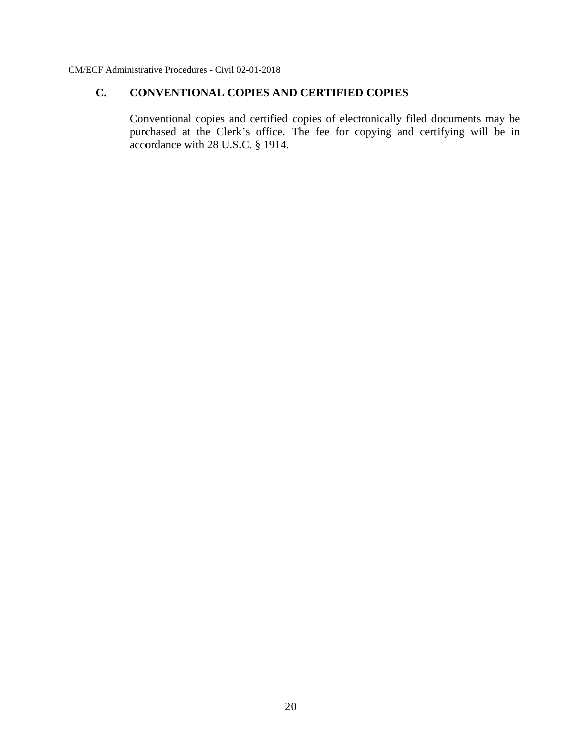# **C. CONVENTIONAL COPIES AND CERTIFIED COPIES**

Conventional copies and certified copies of electronically filed documents may be purchased at the Clerk's office. The fee for copying and certifying will be in accordance with 28 U.S.C. § 1914.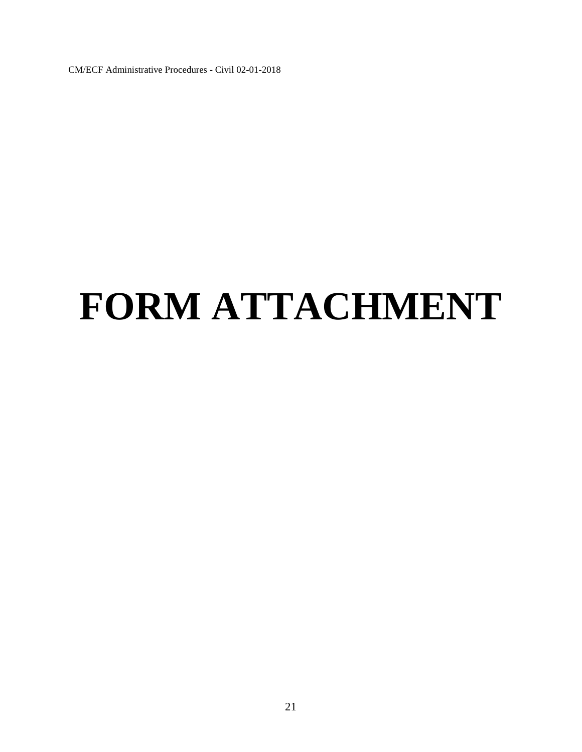# **FORM ATTACHMENT**